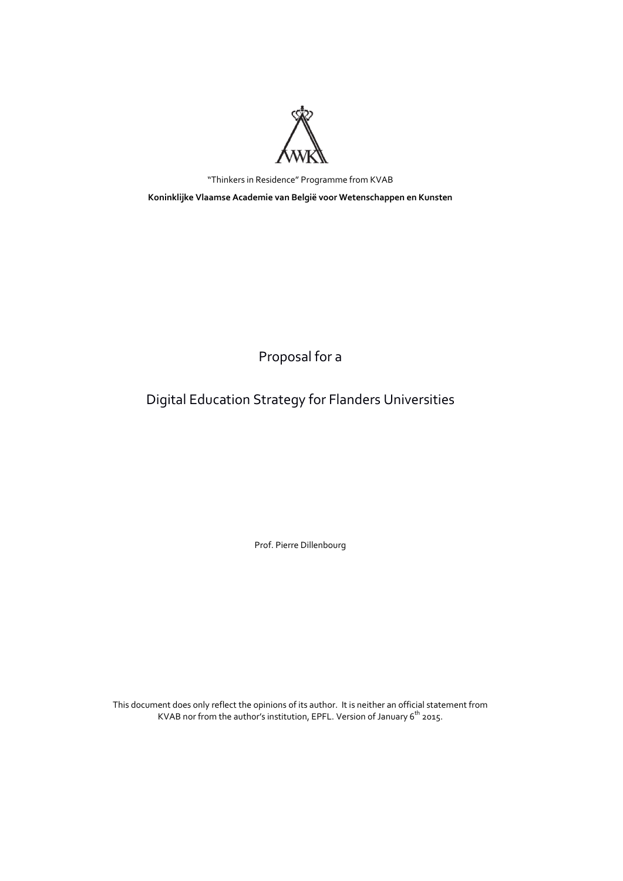

"Thinkers in Residence" Programme from KVAB **Koninklijke Vlaamse Academie van België voor Wetenschappen en Kunsten**

Proposal for a

# Digital Education Strategy for Flanders Universities

Prof. Pierre Dillenbourg

This document does only reflect the opinions of its author. It is neither an official statement from KVAB nor from the author's institution, EPFL. Version of January 6<sup>th</sup> 2015.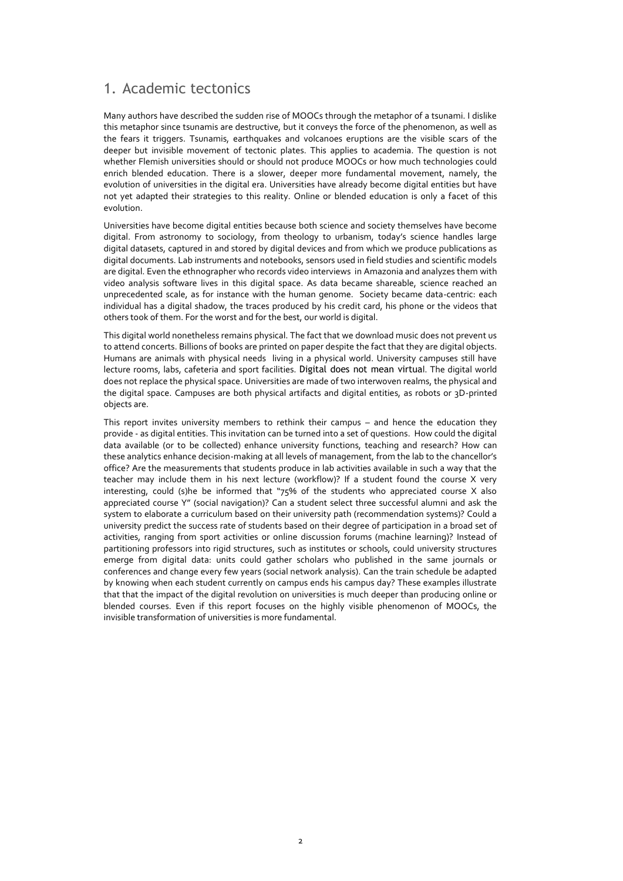# 1. Academic tectonics

Many authors have described the sudden rise of MOOCs through the metaphor of a tsunami. I dislike this metaphor since tsunamis are destructive, but it conveys the force of the phenomenon, as well as the fears it triggers. Tsunamis, earthquakes and volcanoes eruptions are the visible scars of the deeper but invisible movement of tectonic plates. This applies to academia. The question is not whether Flemish universities should or should not produce MOOCs or how much technologies could enrich blended education. There is a slower, deeper more fundamental movement, namely, the evolution of universities in the digital era. Universities have already become digital entities but have not yet adapted their strategies to this reality. Online or blended education is only a facet of this evolution.

Universities have become digital entities because both science and society themselves have become digital. From astronomy to sociology, from theology to urbanism, today's science handles large digital datasets, captured in and stored by digital devices and from which we produce publications as digital documents. Lab instruments and notebooks, sensors used in field studies and scientific models are digital. Even the ethnographer who records video interviews in Amazonia and analyzes them with video analysis software lives in this digital space. As data became shareable, science reached an unprecedented scale, as for instance with the human genome. Society became data-centric: each individual has a digital shadow, the traces produced by his credit card, his phone or the videos that others took of them. For the worst and for the best, our world is digital.

This digital world nonetheless remains physical. The fact that we download music does not prevent us to attend concerts. Billions of books are printed on paper despite the fact that they are digital objects. Humans are animals with physical needs living in a physical world. University campuses still have lecture rooms, labs, cafeteria and sport facilities. Digital does not mean virtual. The digital world does not replace the physical space. Universities are made of two interwoven realms, the physical and the digital space. Campuses are both physical artifacts and digital entities, as robots or 3D-printed objects are.

This report invites university members to rethink their campus – and hence the education they provide - as digital entities. This invitation can be turned into a set of questions. How could the digital data available (or to be collected) enhance university functions, teaching and research? How can these analytics enhance decision-making at all levels of management, from the lab to the chancellor's office? Are the measurements that students produce in lab activities available in such a way that the teacher may include them in his next lecture (workflow)? If a student found the course X very interesting, could (s)he be informed that "75% of the students who appreciated course X also appreciated course Y" (social navigation)? Can a student select three successful alumni and ask the system to elaborate a curriculum based on their university path (recommendation systems)? Could a university predict the success rate of students based on their degree of participation in a broad set of activities, ranging from sport activities or online discussion forums (machine learning)? Instead of partitioning professors into rigid structures, such as institutes or schools, could university structures emerge from digital data: units could gather scholars who published in the same journals or conferences and change every few years (social network analysis). Can the train schedule be adapted by knowing when each student currently on campus ends his campus day? These examples illustrate that that the impact of the digital revolution on universities is much deeper than producing online or blended courses. Even if this report focuses on the highly visible phenomenon of MOOCs, the invisible transformation of universities is more fundamental.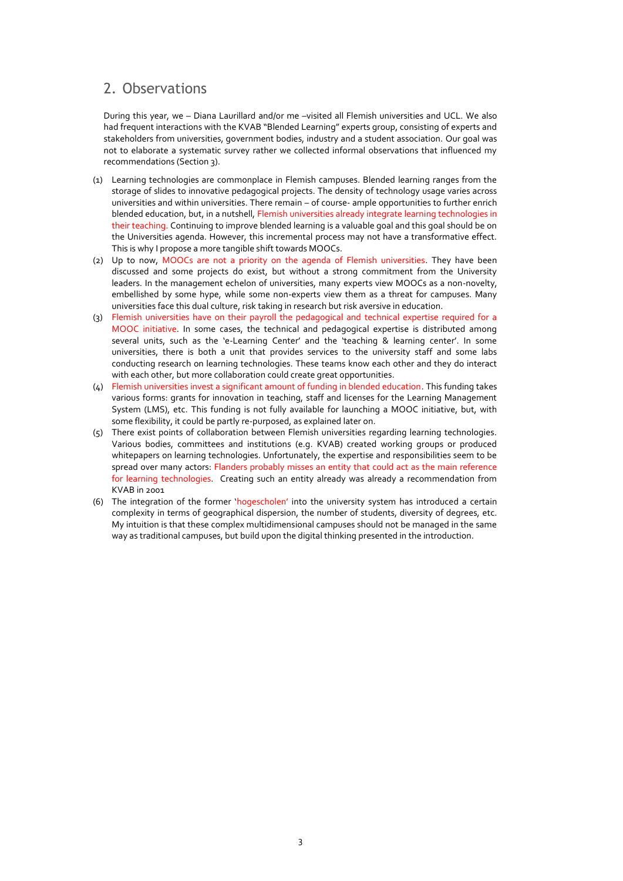# 2. Observations

During this year, we – Diana Laurillard and/or me –visited all Flemish universities and UCL. We also had frequent interactions with the KVAB "Blended Learning" experts group, consisting of experts and stakeholders from universities, government bodies, industry and a student association. Our goal was not to elaborate a systematic survey rather we collected informal observations that influenced my recommendations (Section 3).

- (1) Learning technologies are commonplace in Flemish campuses. Blended learning ranges from the storage of slides to innovative pedagogical projects. The density of technology usage varies across universities and within universities. There remain – of course- ample opportunities to further enrich blended education, but, in a nutshell, Flemish universities already integrate learning technologies in their teaching. Continuing to improve blended learning is a valuable goal and this goal should be on the Universities agenda. However, this incremental process may not have a transformative effect. This is why I propose a more tangible shift towards MOOCs.
- (2) Up to now, MOOCs are not a priority on the agenda of Flemish universities. They have been discussed and some projects do exist, but without a strong commitment from the University leaders. In the management echelon of universities, many experts view MOOCs as a non-novelty, embellished by some hype, while some non-experts view them as a threat for campuses. Many universities face this dual culture, risk taking in research but risk aversive in education.
- (3) Flemish universities have on their payroll the pedagogical and technical expertise required for a MOOC initiative. In some cases, the technical and pedagogical expertise is distributed among several units, such as the 'e-Learning Center' and the 'teaching & learning center'. In some universities, there is both a unit that provides services to the university staff and some labs conducting research on learning technologies. These teams know each other and they do interact with each other, but more collaboration could create great opportunities.
- (4) Flemish universities invest a significant amount of funding in blended education. This funding takes various forms: grants for innovation in teaching, staff and licenses for the Learning Management System (LMS), etc. This funding is not fully available for launching a MOOC initiative, but, with some flexibility, it could be partly re-purposed, as explained later on.
- (5) There exist points of collaboration between Flemish universities regarding learning technologies. Various bodies, committees and institutions (e.g. KVAB) created working groups or produced whitepapers on learning technologies. Unfortunately, the expertise and responsibilities seem to be spread over many actors: Flanders probably misses an entity that could act as the main reference for learning technologies. Creating such an entity already was already a recommendation from KVAB in 2001
- (6) The integration of the former 'hogescholen' into the university system has introduced a certain complexity in terms of geographical dispersion, the number of students, diversity of degrees, etc. My intuition is that these complex multidimensional campuses should not be managed in the same way as traditional campuses, but build upon the digital thinking presented in the introduction.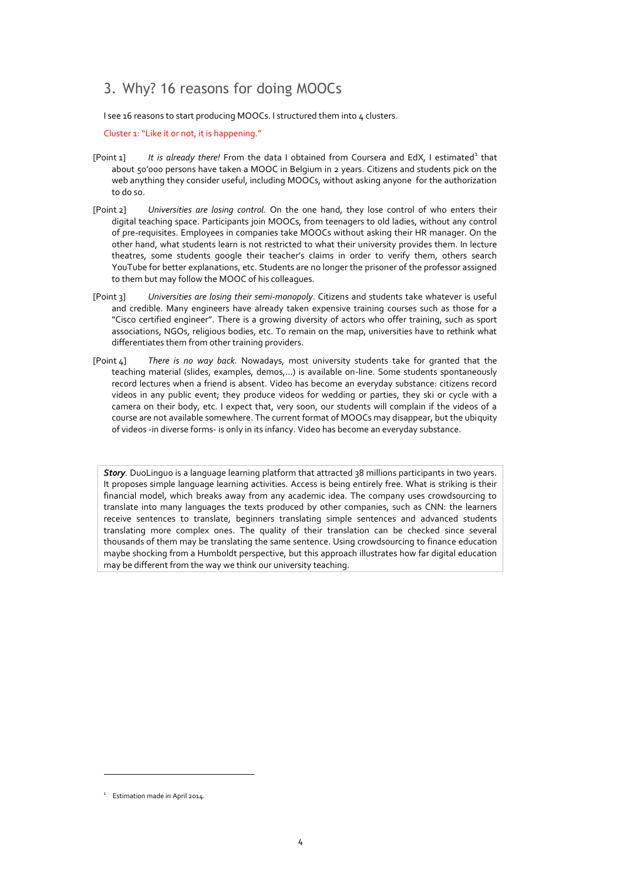# 3. Why? 16 reasons for doing MOOCs

I see 16 reasons to start producing MOOCs. I structured them into 4 clusters.

Cluster 1: "Like it or not, it is happening."

- [Point 1] It is already there! From the data I obtained from Coursera and EdX, I estimated<sup>1</sup> that about 50'000 persons have taken a MOOC in Belgium in 2 years. Citizens and students pick on the web anything they consider useful, including MOOCs, without asking anyone for the authorization to do so.
- [Point 2] *Universities are losing control.* On the one hand, they lose control of who enters their digital teaching space. Participants join MOOCs, from teenagers to old ladies, without any control of pre-requisites. Employees in companies take MOOCs without asking their HR manager. On the other hand, what students learn is not restricted to what their university provides them. In lecture theatres, some students google their teacher's claims in order to verify them, others search YouTube for better explanations, etc. Students are no longer the prisoner of the professor assigned to them but may follow the MOOC of his colleagues.
- [Point 3] *Universities are losing their semi-monopoly*. Citizens and students take whatever is useful and credible. Many engineers have already taken expensive training courses such as those for a "Cisco certified engineer". There is a growing diversity of actors who offer training, such as sport associations, NGOs, religious bodies, etc. To remain on the map, universities have to rethink what differentiates them from other training providers.
- [Point 4] *There is no way back.* Nowadays, most university students take for granted that the teaching material (slides, examples, demos,…) is available on-line. Some students spontaneously record lectures when a friend is absent. Video has become an everyday substance: citizens record videos in any public event; they produce videos for wedding or parties, they ski or cycle with a camera on their body, etc. I expect that, very soon, our students will complain if the videos of a course are not available somewhere. The current format of MOOCs may disappear, but the ubiquity of videos -in diverse forms- is only in its infancy. Video has become an everyday substance.

*Story.* DuoLinguo is a language learning platform that attracted 38 millions participants in two years. It proposes simple language learning activities. Access is being entirely free. What is striking is their financial model, which breaks away from any academic idea. The company uses crowdsourcing to translate into many languages the texts produced by other companies, such as CNN: the learners receive sentences to translate, beginners translating simple sentences and advanced students translating more complex ones. The quality of their translation can be checked since several thousands of them may be translating the same sentence. Using crowdsourcing to finance education maybe shocking from a Humboldt perspective, but this approach illustrates how far digital education may be different from the way we think our university teaching.

 $\overline{a}$ 

<sup>&</sup>lt;sup>1</sup> Estimation made in April 2014.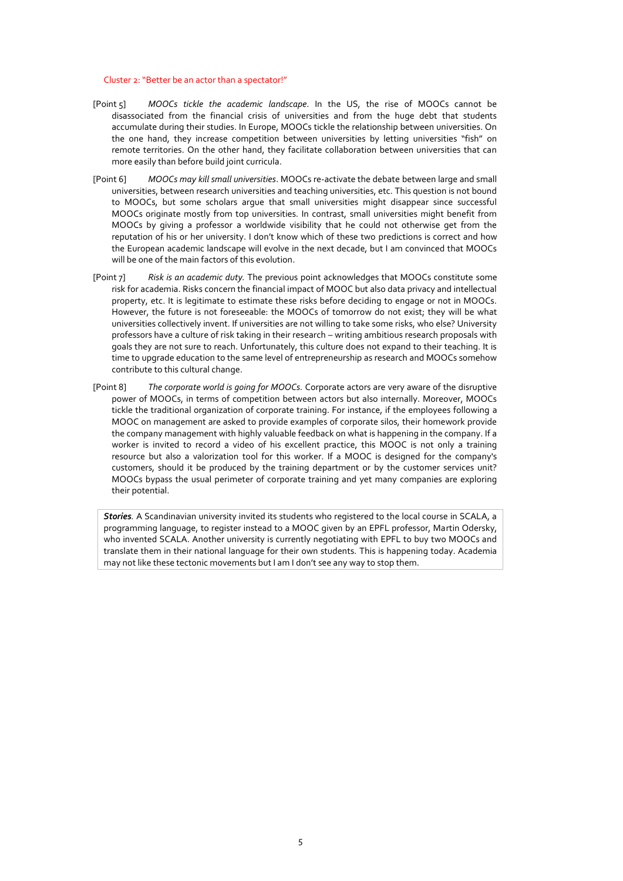#### Cluster 2: "Better be an actor than a spectator!"

- [Point 5] *MOOCs tickle the academic landscape*. In the US, the rise of MOOCs cannot be disassociated from the financial crisis of universities and from the huge debt that students accumulate during their studies. In Europe, MOOCs tickle the relationship between universities. On the one hand, they increase competition between universities by letting universities "fish" on remote territories. On the other hand, they facilitate collaboration between universities that can more easily than before build joint curricula.
- [Point 6] *MOOCs may kill small universities*. MOOCs re-activate the debate between large and small universities, between research universities and teaching universities, etc. This question is not bound to MOOCs, but some scholars argue that small universities might disappear since successful MOOCs originate mostly from top universities. In contrast, small universities might benefit from MOOCs by giving a professor a worldwide visibility that he could not otherwise get from the reputation of his or her university. I don't know which of these two predictions is correct and how the European academic landscape will evolve in the next decade, but I am convinced that MOOCs will be one of the main factors of this evolution.
- [Point 7] *Risk is an academic duty.* The previous point acknowledges that MOOCs constitute some risk for academia. Risks concern the financial impact of MOOC but also data privacy and intellectual property, etc. It is legitimate to estimate these risks before deciding to engage or not in MOOCs. However, the future is not foreseeable: the MOOCs of tomorrow do not exist; they will be what universities collectively invent. If universities are not willing to take some risks, who else? University professors have a culture of risk taking in their research – writing ambitious research proposals with goals they are not sure to reach. Unfortunately, this culture does not expand to their teaching. It is time to upgrade education to the same level of entrepreneurship as research and MOOCs somehow contribute to this cultural change.
- [Point 8] *The corporate world is going for MOOCs.* Corporate actors are very aware of the disruptive power of MOOCs, in terms of competition between actors but also internally. Moreover, MOOCs tickle the traditional organization of corporate training. For instance, if the employees following a MOOC on management are asked to provide examples of corporate silos, their homework provide the company management with highly valuable feedback on what is happening in the company. If a worker is invited to record a video of his excellent practice, this MOOC is not only a training resource but also a valorization tool for this worker. If a MOOC is designed for the company's customers, should it be produced by the training department or by the customer services unit? MOOCs bypass the usual perimeter of corporate training and yet many companies are exploring their potential.

*Stories.* A Scandinavian university invited its students who registered to the local course in SCALA, a programming language, to register instead to a MOOC given by an EPFL professor, Martin Odersky, who invented SCALA. Another university is currently negotiating with EPFL to buy two MOOCs and translate them in their national language for their own students. This is happening today. Academia may not like these tectonic movements but I am I don't see any way to stop them.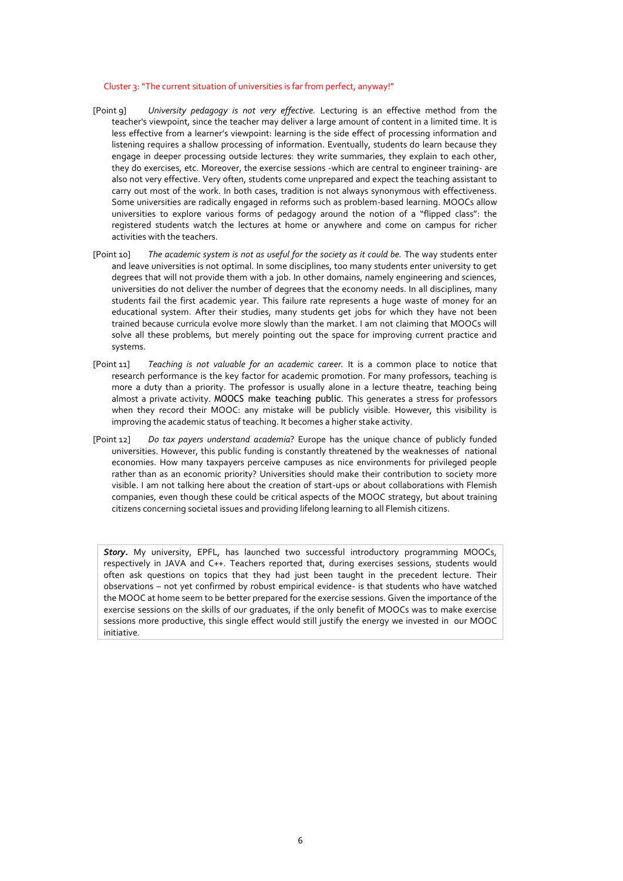#### Cluster 3: "The current situation of universities is far from perfect, anyway!"

- [Point 9] *University pedagogy is not very effective.* Lecturing is an effective method from the teacher's viewpoint, since the teacher may deliver a large amount of content in a limited time. It is less effective from a learner's viewpoint: learning is the side effect of processing information and listening requires a shallow processing of information. Eventually, students do learn because they engage in deeper processing outside lectures: they write summaries, they explain to each other, they do exercises, etc. Moreover, the exercise sessions -which are central to engineer training- are also not very effective. Very often, students come unprepared and expect the teaching assistant to carry out most of the work. In both cases, tradition is not always synonymous with effectiveness. Some universities are radically engaged in reforms such as problem-based learning. MOOCs allow universities to explore various forms of pedagogy around the notion of a "flipped class": the registered students watch the lectures at home or anywhere and come on campus for richer activities with the teachers.
- [Point 10] *The academic system is not as useful for the society as it could be.* The way students enter and leave universities is not optimal. In some disciplines, too many students enter university to get degrees that will not provide them with a job. In other domains, namely engineering and sciences, universities do not deliver the number of degrees that the economy needs. In all disciplines, many students fail the first academic year. This failure rate represents a huge waste of money for an educational system. After their studies, many students get jobs for which they have not been trained because curricula evolve more slowly than the market. I am not claiming that MOOCs will solve all these problems, but merely pointing out the space for improving current practice and systems.
- [Point 11] *Teaching is not valuable for an academic career.* It is a common place to notice that research performance is the key factor for academic promotion. For many professors, teaching is more a duty than a priority. The professor is usually alone in a lecture theatre, teaching being almost a private activity. MOOCS make teaching public. This generates a stress for professors when they record their MOOC: any mistake will be publicly visible. However, this visibility is improving the academic status of teaching. It becomes a higher stake activity.
- [Point 12] *Do tax payers understand academia*? Europe has the unique chance of publicly funded universities. However, this public funding is constantly threatened by the weaknesses of national economies. How many taxpayers perceive campuses as nice environments for privileged people rather than as an economic priority? Universities should make their contribution to society more visible. I am not talking here about the creation of start-ups or about collaborations with Flemish companies, even though these could be critical aspects of the MOOC strategy, but about training citizens concerning societal issues and providing lifelong learning to all Flemish citizens.

*Story.* My university, EPFL, has launched two successful introductory programming MOOCs, respectively in JAVA and C++. Teachers reported that, during exercises sessions, students would often ask questions on topics that they had just been taught in the precedent lecture. Their observations – not yet confirmed by robust empirical evidence- is that students who have watched the MOOC at home seem to be better prepared for the exercise sessions. Given the importance of the exercise sessions on the skills of our graduates, if the only benefit of MOOCs was to make exercise sessions more productive, this single effect would still justify the energy we invested in our MOOC initiative*.*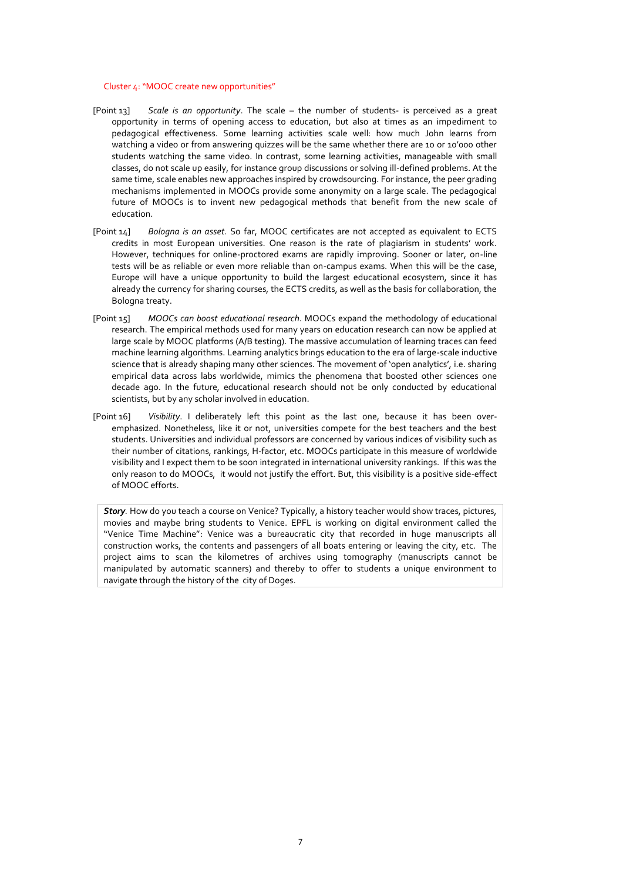#### Cluster 4: "MOOC create new opportunities"

- [Point 13] *Scale is an opportunity*. The scale the number of students- is perceived as a great opportunity in terms of opening access to education, but also at times as an impediment to pedagogical effectiveness. Some learning activities scale well: how much John learns from watching a video or from answering quizzes will be the same whether there are 10 or 10'000 other students watching the same video. In contrast, some learning activities, manageable with small classes, do not scale up easily, for instance group discussions or solving ill-defined problems. At the same time, scale enables new approaches inspired by crowdsourcing. For instance, the peer grading mechanisms implemented in MOOCs provide some anonymity on a large scale. The pedagogical future of MOOCs is to invent new pedagogical methods that benefit from the new scale of education.
- [Point 14] *Bologna is an asset.* So far, MOOC certificates are not accepted as equivalent to ECTS credits in most European universities. One reason is the rate of plagiarism in students' work. However, techniques for online-proctored exams are rapidly improving. Sooner or later, on-line tests will be as reliable or even more reliable than on-campus exams. When this will be the case, Europe will have a unique opportunity to build the largest educational ecosystem, since it has already the currency for sharing courses, the ECTS credits, as well as the basis for collaboration, the Bologna treaty.
- [Point 15] *MOOCs can boost educational research*. MOOCs expand the methodology of educational research. The empirical methods used for many years on education research can now be applied at large scale by MOOC platforms (A/B testing). The massive accumulation of learning traces can feed machine learning algorithms. Learning analytics brings education to the era of large-scale inductive science that is already shaping many other sciences. The movement of 'open analytics', i.e. sharing empirical data across labs worldwide, mimics the phenomena that boosted other sciences one decade ago. In the future, educational research should not be only conducted by educational scientists, but by any scholar involved in education.
- [Point 16] *Visibility*. I deliberately left this point as the last one, because it has been overemphasized. Nonetheless, like it or not, universities compete for the best teachers and the best students. Universities and individual professors are concerned by various indices of visibility such as their number of citations, rankings, H-factor, etc. MOOCs participate in this measure of worldwide visibility and I expect them to be soon integrated in international university rankings. If this was the only reason to do MOOCs, it would not justify the effort. But, this visibility is a positive side-effect of MOOC efforts.

*Story.* How do you teach a course on Venice? Typically, a history teacher would show traces, pictures, movies and maybe bring students to Venice. EPFL is working on digital environment called the "Venice Time Machine": Venice was a bureaucratic city that recorded in huge manuscripts all construction works, the contents and passengers of all boats entering or leaving the city, etc. The project aims to scan the kilometres of archives using tomography (manuscripts cannot be manipulated by automatic scanners) and thereby to offer to students a unique environment to navigate through the history of the city of Doges.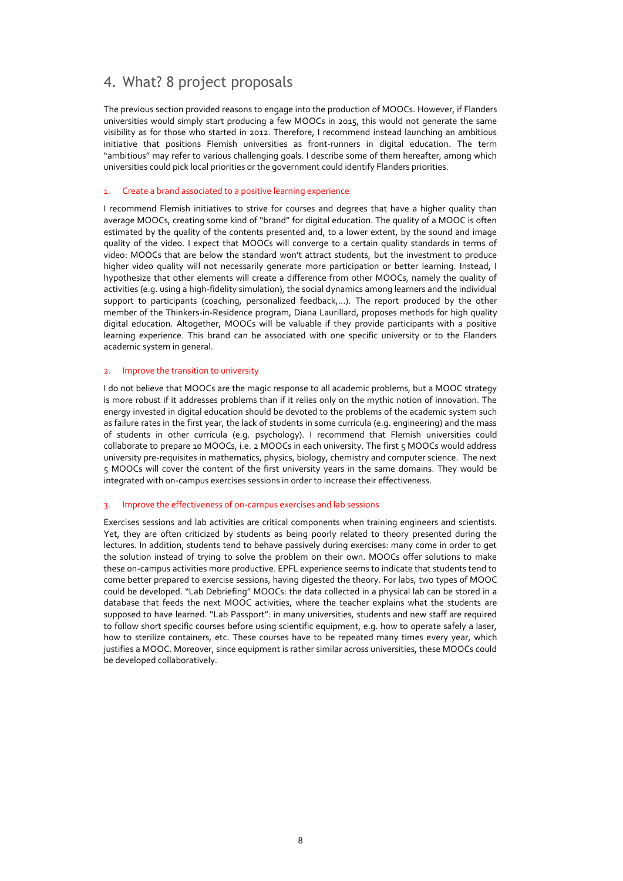# 4. What? 8 project proposals

The previous section provided reasons to engage into the production of MOOCs. However, if Flanders universities would simply start producing a few MOOCs in 2015, this would not generate the same visibility as for those who started in 2012. Therefore, I recommend instead launching an ambitious initiative that positions Flemish universities as front-runners in digital education. The term "ambitious" may refer to various challenging goals. I describe some of them hereafter, among which universities could pick local priorities or the government could identify Flanders priorities.

# 1. Create a brand associated to a positive learning experience

I recommend Flemish initiatives to strive for courses and degrees that have a higher quality than average MOOCs, creating some kind of "brand" for digital education. The quality of a MOOC is often estimated by the quality of the contents presented and, to a lower extent, by the sound and image quality of the video. I expect that MOOCs will converge to a certain quality standards in terms of video: MOOCs that are below the standard won't attract students, but the investment to produce higher video quality will not necessarily generate more participation or better learning. Instead, I hypothesize that other elements will create a difference from other MOOCs, namely the quality of activities (e.g. using a high-fidelity simulation), the social dynamics among learners and the individual support to participants (coaching, personalized feedback,…). The report produced by the other member of the Thinkers-in-Residence program, Diana Laurillard, proposes methods for high quality digital education. Altogether, MOOCs will be valuable if they provide participants with a positive learning experience. This brand can be associated with one specific university or to the Flanders academic system in general.

# 2. Improve the transition to university

I do not believe that MOOCs are the magic response to all academic problems, but a MOOC strategy is more robust if it addresses problems than if it relies only on the mythic notion of innovation. The energy invested in digital education should be devoted to the problems of the academic system such as failure rates in the first year, the lack of students in some curricula (e.g. engineering) and the mass of students in other curricula (e.g. psychology). I recommend that Flemish universities could collaborate to prepare 10 MOOCs, i.e. 2 MOOCs in each university. The first 5 MOOCs would address university pre-requisites in mathematics, physics, biology, chemistry and computer science. The next 5 MOOCs will cover the content of the first university years in the same domains. They would be integrated with on-campus exercises sessions in order to increase their effectiveness.

### 3. Improve the effectiveness of on-campus exercises and lab sessions

Exercises sessions and lab activities are critical components when training engineers and scientists. Yet, they are often criticized by students as being poorly related to theory presented during the lectures. In addition, students tend to behave passively during exercises: many come in order to get the solution instead of trying to solve the problem on their own. MOOCs offer solutions to make these on-campus activities more productive. EPFL experience seems to indicate that students tend to come better prepared to exercise sessions, having digested the theory. For labs, two types of MOOC could be developed. "Lab Debriefing" MOOCs: the data collected in a physical lab can be stored in a database that feeds the next MOOC activities, where the teacher explains what the students are supposed to have learned. "Lab Passport": in many universities, students and new staff are required to follow short specific courses before using scientific equipment, e.g. how to operate safely a laser, how to sterilize containers, etc. These courses have to be repeated many times every year, which justifies a MOOC. Moreover, since equipment is rather similar across universities, these MOOCs could be developed collaboratively.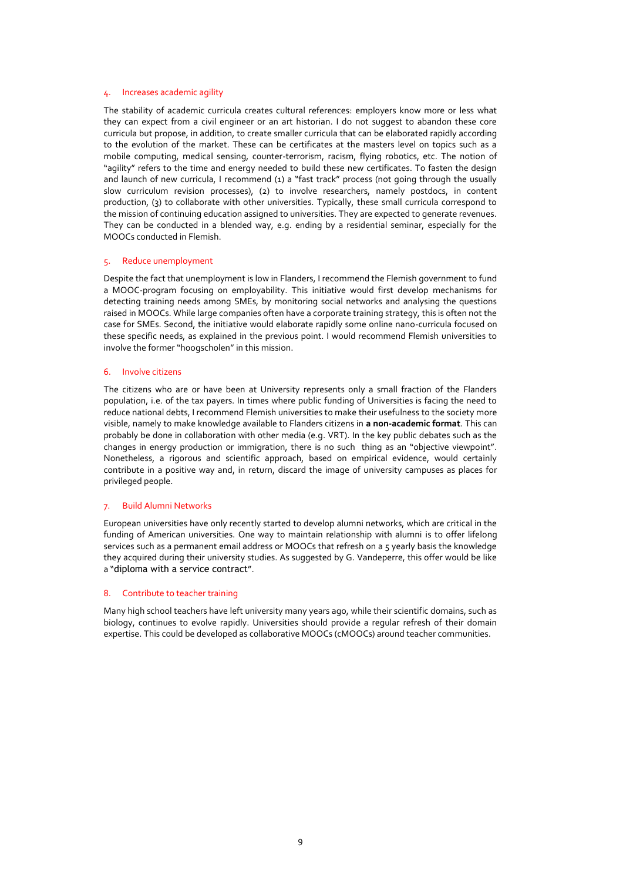#### Increases academic agility

The stability of academic curricula creates cultural references: employers know more or less what they can expect from a civil engineer or an art historian. I do not suggest to abandon these core curricula but propose, in addition, to create smaller curricula that can be elaborated rapidly according to the evolution of the market. These can be certificates at the masters level on topics such as a mobile computing, medical sensing, counter-terrorism, racism, flying robotics, etc. The notion of "agility" refers to the time and energy needed to build these new certificates. To fasten the design and launch of new curricula, I recommend (1) a "fast track" process (not going through the usually slow curriculum revision processes), (2) to involve researchers, namely postdocs, in content production, (3) to collaborate with other universities. Typically, these small curricula correspond to the mission of continuing education assigned to universities. They are expected to generate revenues. They can be conducted in a blended way, e.g. ending by a residential seminar, especially for the MOOCs conducted in Flemish.

#### 5. Reduce unemployment

Despite the fact that unemployment is low in Flanders, I recommend the Flemish government to fund a MOOC-program focusing on employability. This initiative would first develop mechanisms for detecting training needs among SMEs, by monitoring social networks and analysing the questions raised in MOOCs. While large companies often have a corporate training strategy, this is often not the case for SMEs. Second, the initiative would elaborate rapidly some online nano-curricula focused on these specific needs, as explained in the previous point. I would recommend Flemish universities to involve the former "hoogscholen" in this mission.

#### 6. Involve citizens

The citizens who are or have been at University represents only a small fraction of the Flanders population, i.e. of the tax payers. In times where public funding of Universities is facing the need to reduce national debts, I recommend Flemish universities to make their usefulness to the society more visible, namely to make knowledge available to Flanders citizens in **a non-academic format**. This can probably be done in collaboration with other media (e.g. VRT). In the key public debates such as the changes in energy production or immigration, there is no such thing as an "objective viewpoint". Nonetheless, a rigorous and scientific approach, based on empirical evidence, would certainly contribute in a positive way and, in return, discard the image of university campuses as places for privileged people.

#### 7. Build Alumni Networks

European universities have only recently started to develop alumni networks, which are critical in the funding of American universities. One way to maintain relationship with alumni is to offer lifelong services such as a permanent email address or MOOCs that refresh on a 5 yearly basis the knowledge they acquired during their university studies. As suggested by G. Vandeperre, this offer would be like a "diploma with a service contract".

### 8. Contribute to teacher training

Many high school teachers have left university many years ago, while their scientific domains, such as biology, continues to evolve rapidly. Universities should provide a regular refresh of their domain expertise. This could be developed as collaborative MOOCs (cMOOCs) around teacher communities.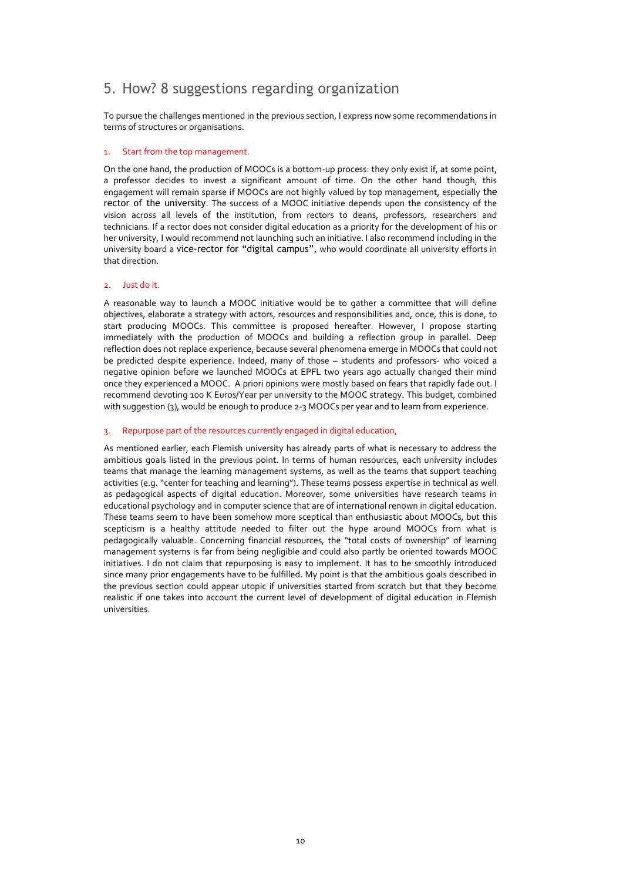# 5. How? 8 suggestions regarding organization

To pursue the challenges mentioned in the previous section, I express now some recommendations in terms of structures or organisations.

# 1. Start from the top management.

On the one hand, the production of MOOCs is a bottom-up process: they only exist if, at some point, a professor decides to invest a significant amount of time. On the other hand though, this engagement will remain sparse if MOOCs are not highly valued by top management, especially the rector of the university. The success of a MOOC initiative depends upon the consistency of the vision across all levels of the institution, from rectors to deans, professors, researchers and technicians. If a rector does not consider digital education as a priority for the development of his or her university, I would recommend not launching such an initiative. I also recommend including in the university board a vice-rector for "digital campus", who would coordinate all university efforts in that direction.

# 2. Just do it.

A reasonable way to launch a MOOC initiative would be to gather a committee that will define objectives, elaborate a strategy with actors, resources and responsibilities and, once, this is done, to start producing MOOCs. This committee is proposed hereafter. However, I propose starting immediately with the production of MOOCs and building a reflection group in parallel. Deep reflection does not replace experience, because several phenomena emerge in MOOCs that could not be predicted despite experience. Indeed, many of those – students and professors- who voiced a negative opinion before we launched MOOCs at EPFL two years ago actually changed their mind once they experienced a MOOC. A priori opinions were mostly based on fears that rapidly fade out. I recommend devoting 100 K Euros/Year per university to the MOOC strategy. This budget, combined with suggestion (3), would be enough to produce 2-3 MOOCs per year and to learn from experience.

### 3. Repurpose part of the resources currently engaged in digital education,

As mentioned earlier, each Flemish university has already parts of what is necessary to address the ambitious goals listed in the previous point. In terms of human resources, each university includes teams that manage the learning management systems, as well as the teams that support teaching activities (e.g. "center for teaching and learning"). These teams possess expertise in technical as well as pedagogical aspects of digital education. Moreover, some universities have research teams in educational psychology and in computer science that are of international renown in digital education. These teams seem to have been somehow more sceptical than enthusiastic about MOOCs, but this scepticism is a healthy attitude needed to filter out the hype around MOOCs from what is pedagogically valuable. Concerning financial resources, the "total costs of ownership" of learning management systems is far from being negligible and could also partly be oriented towards MOOC initiatives. I do not claim that repurposing is easy to implement. It has to be smoothly introduced since many prior engagements have to be fulfilled. My point is that the ambitious goals described in the previous section could appear utopic if universities started from scratch but that they become realistic if one takes into account the current level of development of digital education in Flemish universities.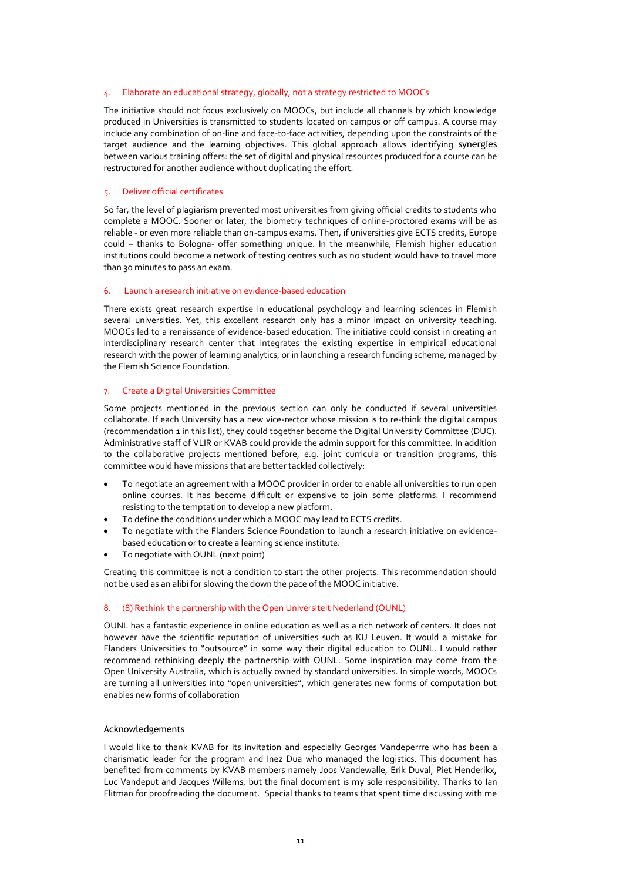#### 4. Elaborate an educational strategy, globally, not a strategy restricted to MOOCs

The initiative should not focus exclusively on MOOCs, but include all channels by which knowledge produced in Universities is transmitted to students located on campus or off campus. A course may include any combination of on-line and face-to-face activities, depending upon the constraints of the target audience and the learning objectives. This global approach allows identifying synergies between various training offers: the set of digital and physical resources produced for a course can be restructured for another audience without duplicating the effort.

### 5. Deliver official certificates

So far, the level of plagiarism prevented most universities from giving official credits to students who complete a MOOC. Sooner or later, the biometry techniques of online-proctored exams will be as reliable - or even more reliable than on-campus exams. Then, if universities give ECTS credits, Europe could – thanks to Bologna- offer something unique. In the meanwhile, Flemish higher education institutions could become a network of testing centres such as no student would have to travel more than 30 minutes to pass an exam.

### 6. Launch a research initiative on evidence-based education

There exists great research expertise in educational psychology and learning sciences in Flemish several universities. Yet, this excellent research only has a minor impact on university teaching. MOOCs led to a renaissance of evidence-based education. The initiative could consist in creating an interdisciplinary research center that integrates the existing expertise in empirical educational research with the power of learning analytics, or in launching a research funding scheme, managed by the Flemish Science Foundation.

#### 7. Create a Digital Universities Committee

Some projects mentioned in the previous section can only be conducted if several universities collaborate. If each University has a new vice-rector whose mission is to re-think the digital campus (recommendation 1 in this list), they could together become the Digital University Committee (DUC). Administrative staff of VLIR or KVAB could provide the admin support for this committee. In addition to the collaborative projects mentioned before, e.g. joint curricula or transition programs, this committee would have missions that are better tackled collectively:

- To negotiate an agreement with a MOOC provider in order to enable all universities to run open online courses. It has become difficult or expensive to join some platforms. I recommend resisting to the temptation to develop a new platform.
- To define the conditions under which a MOOC may lead to ECTS credits.
- To negotiate with the Flanders Science Foundation to launch a research initiative on evidencebased education or to create a learning science institute.
- To negotiate with OUNL (next point)

Creating this committee is not a condition to start the other projects. This recommendation should not be used as an alibi for slowing the down the pace of the MOOC initiative.

#### 8. (8) Rethink the partnership with the Open Universiteit Nederland (OUNL)

OUNL has a fantastic experience in online education as well as a rich network of centers. It does not however have the scientific reputation of universities such as KU Leuven. It would a mistake for Flanders Universities to "outsource" in some way their digital education to OUNL. I would rather recommend rethinking deeply the partnership with OUNL. Some inspiration may come from the Open University Australia, which is actually owned by standard universities. In simple words, MOOCs are turning all universities into "open universities", which generates new forms of computation but enables new forms of collaboration

#### Acknowledgements

I would like to thank KVAB for its invitation and especially Georges Vandeperrre who has been a charismatic leader for the program and Inez Dua who managed the logistics. This document has benefited from comments by KVAB members namely Joos Vandewalle, Erik Duval, Piet Henderikx, Luc Vandeput and Jacques Willems, but the final document is my sole responsibility. Thanks to Ian Flitman for proofreading the document. Special thanks to teams that spent time discussing with me